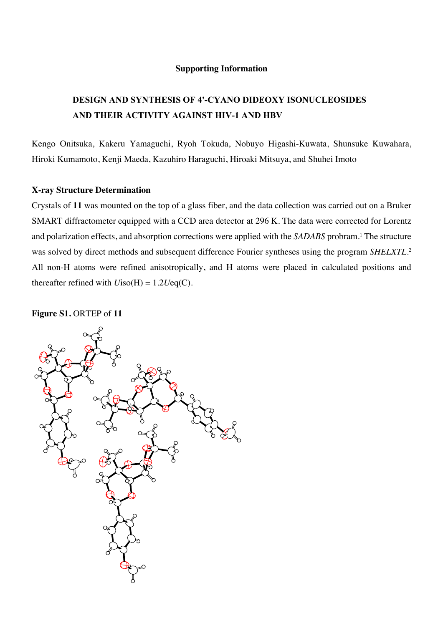#### **Supporting Information**

## **DESIGN AND SYNTHESIS OF 4'-CYANO DIDEOXY ISONUCLEOSIDES AND THEIR ACTIVITY AGAINST HIV-1 AND HBV**

Kengo Onitsuka, Kakeru Yamaguchi, Ryoh Tokuda, Nobuyo Higashi-Kuwata, Shunsuke Kuwahara, Hiroki Kumamoto, Kenji Maeda, Kazuhiro Haraguchi, Hiroaki Mitsuya, and Shuhei Imoto

#### **X-ray Structure Determination**

Crystals of **11** was mounted on the top of a glass fiber, and the data collection was carried out on a Bruker SMART diffractometer equipped with a CCD area detector at 296 K. The data were corrected for Lorentz and polarization effects, and absorption corrections were applied with the *SADABS* probram.1 The structure was solved by direct methods and subsequent difference Fourier syntheses using the program *SHELXTL*. 2 All non-H atoms were refined anisotropically, and H atoms were placed in calculated positions and thereafter refined with  $U$ iso(H) = 1.2*U*eq(C).

#### **Figure S1.** ORTEP of **11**